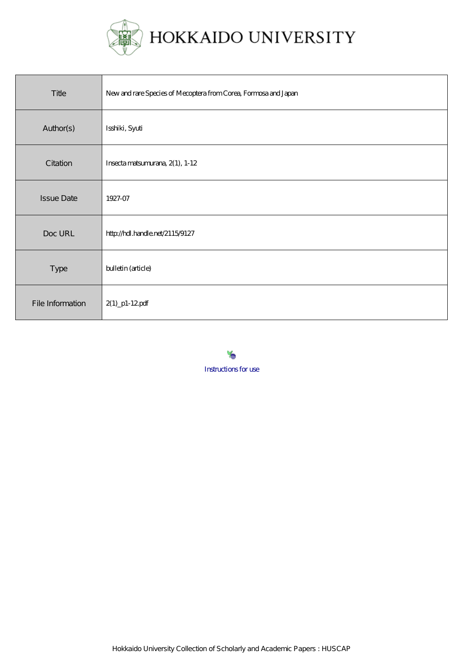

| Title             | New and rare Species of Mecoptera from Corea, Formosa and Japan |
|-------------------|-----------------------------------------------------------------|
| Author(s)         | Isshiki, Syuti                                                  |
| Citation          | Insecta matsumurana, 2(1), 1-12                                 |
| <b>Issue Date</b> | 1927-07                                                         |
| Doc URL           | http://hdl.handle.net/2115/9127                                 |
| Type              | bulletin (article)                                              |
| File Information  | $2(1)$ _p1-12pdf                                                |

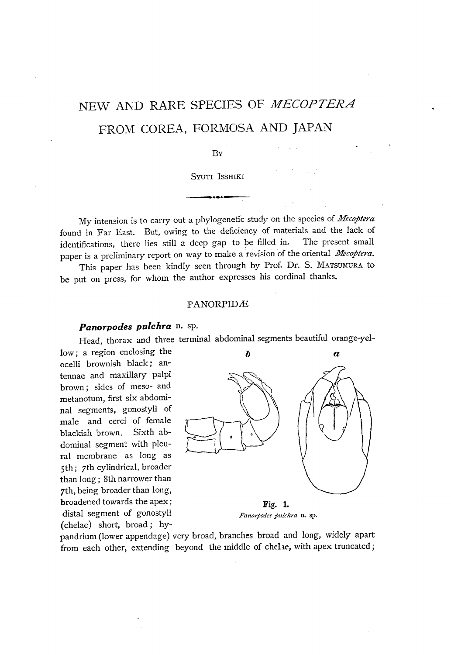# NEW AND RARE SPECIES OF MECOPTERA FROM COREA, FORMOSA AND JAPAN

#### By

SYUTI ISSHIKI **- ....** 

My intension is to carry out a phylogenetic study on the species of *Mecoptera* found in Far East. But, owing to the deficiency of materials and the lack of identifications, there lies still a deep gap to be filled in. The present small paper is a preliminary report on way to make a revision of the oriental *Mecoptera.* 

This paper has been kindly seen through by Prof. Dr. S. MATSUMURA to be put on press, for whom the author expresses his cordinal thanks.

#### PANORPIDÆ

# *Panorpodes pulchra* n. sp.

Head, thorax and three terminal abdominal segments beautiful orange-yel-

low; a region enclosing the ocelli brownish black; antennae and maxillary palpi brown; sides of meso- and metanotum, first six abdominal segments, gonostyli of male and cerci of female blackish brown. Sixth abdominal segment with pleural membrane as long as 5th; 7th cylindrical, broader than long; 8th narrower than 7th, being broader than long, broadened towards the apex; distal segment of gonostyli (chelae) short, broad; hy-



pandrium (lower appendage) very broad, branches broad and long, widely apart from each other, extending beyond the middle of chelae, with apex truncated;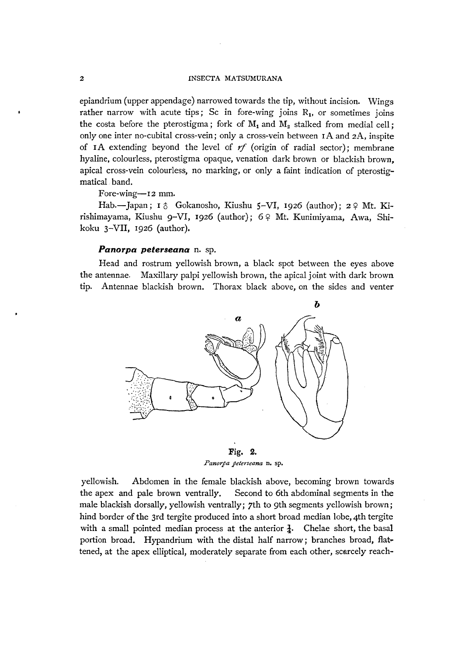epiandrium (upper appendage) narrowed towards the tip, without incision. Wings rather narrow with acute tips; Sc in fore-wing joins  $R_1$ , or sometimes joins the costa before the pterostigma; fork of  $M_1$  and  $M_2$  stalked from medial cell; only one inter no-cubital cross-vein; only a cross-vein between  $I A$  and  $2A$ , inspite of 1A extending beyond the level of  $rf$  (origin of radial sector); membrane hyaline, colourless, pterostigma opaque, venation dark brown or blackish brown, apical cross-vein colourless, no marking, or only a faint indication of pterostigmatical band.

#### Fore-wing-12 mm.

Hab.-Japan; 1 & Gokanosho, Kiushu 5-VI, 1926 (author); 2 & Mt. Kirishimayama, Kiushu 9-V1, 1926 (author); 6 Q Mt. Kunimiyama, Awa, Shikoku 3-VII, 1926 (author).

## *Panorpa peterseana* n. sp.

Head and rostrum yellowish brown, a black spot between the eyes above the antennae. Maxillary palpi yellowish brown, the apical joint with dark brown tip. Antennae blackish brown. Thorax black above, on the sides and venter



Fig. 2. *Panorpa peterseana* n. sp.

yellowish. Abdomen in the female blackish above, becoming brown towards the apex and pale brown ventrally. Second to 6th abdominal segments in the male blackish dorsally, yellowish ventrally; 7th to 9th segments yellowish brown; hind border of the 3rd tergite produced into a short broad median lobe, 4th tergite with a small pointed median process at the anterior  $\frac{1}{4}$ . Chelae short, the basal portion broad. Hypandrium with the distal half narrow; branches broad, flattened, at the apex elliptical, moderately separate from each other, scarcely reach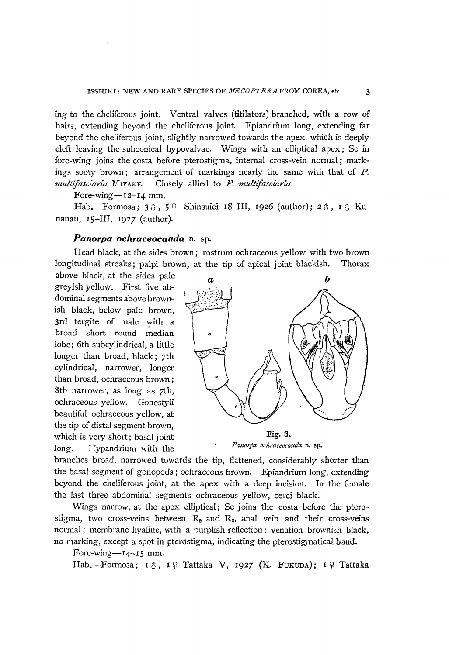ing to the cheliferous joint. Ventral valves (titilators) branched, with a row of hairs, extending beyond the cheliferous joint. Epiandrium long, extending far beyond the cheliferous joint, slightly narrowed towards the apex, which is deeply cleft leaving the sub conical hypovalvae. Wings with an elliptical apex; Sc in fore-wing joins the costa before pterostigma, internal cross-vein normal; markings sooty brown; arrangement of markings nearly the same with that of P. *multifasciaria* MIYAKE. Closely allied to *P. multifasciaria.* 

Fore-wing $-12-14$  mm.

Hab.-Formosa;  $30, 59$  Shinsuiei 18-III, 1926 (author);  $20, 10$  Kunanau, 15-III, 1927 (author).

#### *Panorpa ochraceocauda* n. sp.

Head black, at the sides brown; rostrum ochraceous yellow with two brown longitudinal streaks; palpi brown, at the tip of apical joint blackish. Thorax

above black, at the sides pale greyish yellow. First five abdominal segments above brownish black, below pale brown, 3rd tergite of male with a broad short round median lobe; 6th subcylindrical, a little longer than broad, black; 7th cylindrical, narrower, longer than broad, ochraceous brown; 8th narrower, as long as 7th, ochraceous yellow. Gonostyli beautiful ochraceous yellow, at the tip of distal segment brown, which is very short; basal joint Fig. 3. long. Hypandrium with the *Panorpa ochraceocauda* n. sp.



branches broad, narrowed towards the tip, flattened, considerably shorter than the basal segment of gonopods; ochraceous brown. Epiandrium long, extending beyond the cheliferous joint, at the apex with a deep incision. In the female the last three abdominal segments ochraceous yellow, cerci black.

Wings narrow, at the apex elliptical; Sc joins the costa before the pterostigma, two cross-veins between  $R_2$  and  $R_3$ , anal vein and their cross-veins normal; membrane hyaline, with a purplish reflection; venation brownish black, no marking, except a spot in pterostigma, indicating the pterostigmatical band.

Fore-wing- $14-15$  mm.

Hab.-Formosa;  $I \hat{\circ}$ ,  $I \hat{\circ}$  Tattaka V, 1927 (K. FUKUDA);  $I \hat{\circ}$  Tattaka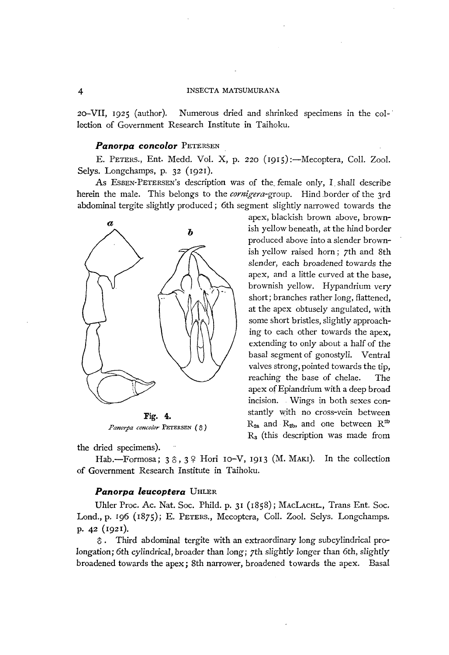2o-VII, 1925 (author). Numerous dried and shrinked specimens in the col-' lection of Government Research Institute in Taihoku.

#### *Panorpa concolor* PETERSEN

E. PETERS., Ent. Medd. Vol. X, p. 220 (1915):—Mecoptera, Coll. Zool. Selys. Longchamps, p. 32 (1921).

As ESBEN-PETERSEN's description was of the female only, I shall describe herein the male. This belongs to the *cornigera*-group. Hind border of the 3rd abdominal tergite slightly produced; 6th segment slightly narrowed towards the



*Panorpa concolor PETERSEN* (3)

the dried specimens).

ish yellow beneath, at the hind border produced above into a slender brownish yellow raised horn; 7th and 8th slender, each broadened towards the apex, and a little curved at the base, brownish yellow. Hypandrium very short; branches rather long, flattened, at the apex obtusely angulated, with some short bristles, slightly approaching to each other towards the apex, extending to only about a half of the basal segment of gonostyli. Ventral valves strong, pointed towards the tip, reaching the base of chelae. The apex ofEpiandrium with a deep broad incision. Wings in both sexes constantly with no cross-vein between  $R_{2a}$  and  $R_{2b}$ , and one between  $R^{2b}$ 

Ra (this description was made from

apex, blackish brown above, brown-

Hab.-Formosa;  $3\hat{0}$ ,  $3\hat{9}$  Hori 10-V, 1913 (M. MAKI). In the collection of Government Research Institute in Taihoku.

#### *Panorpa leucoptera* UHLER

Uhler Proc. Ac. Nat. Soc. Phild. p. 31 (1858); MACLACHL., Trans Ent. Soc. Lond., p. 196 (1875); E. PETERS., Mecoptera, CoIl. Zool. Selys. Longchamps. p. 42 (1921).

 $\delta$ . Third abdominal tergite with an extraordinary long subcylindrical prolongation; 6th cylindrical, broader than long; 7th slightly longer than 6th, slightly broadened towards the apex; 8th narrower, broadened towards the apex. Basal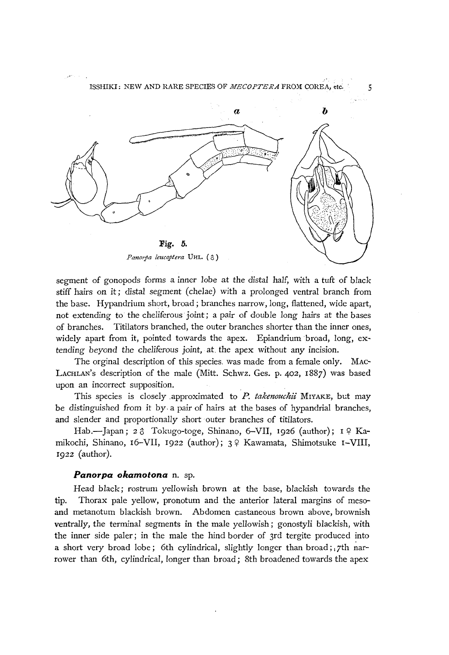

segment of gonopods forms a inner *lobe* at the distal half, with a tuft of black stiff hairs on it; distal segment (chelae) with a prolonged ventral branch from the base. Hypandrium short, broad; branches narrow, long. flattened, wide apart, not extending to the cheliferous joint; a pair of double long hairs at the bases of branches. Titilators branched, the outer branches shorter than the inner ones, widely apart from it, pointed towards the apex. Epiandrium broad, long,  $ex$ tending beyond the cheliferous joint, at the apex without any incision.

The orginal description of this species, was made from a female only. MAC-LACHLAN's description of the male (Mitt. Schwz. Ges. p. 402, 1887) was based upon an incorrect supposition.

This species is closely approximated to *P. takenouchii* MIYAKE, but may be distinguished from it by, a pair of hairs at the bases of hypandrial branches, and slender and proportionally short outer branches of titilators.

Hab.-Japan; 26 Tokugo-toge, Shinano, 6-VII, 1926 (author); 19 Kamikochi, Shinano, 16-VII, 1922 (author); 3 º Kawamata, Shimotsuke I-VIII, 1922 (author).

## *Panorpa okamotona* n. sp.

Head black; rostrum yellowish brown at the base, blackish towards the tip. Thorax pale yellow, pronotum and the anterior lateral margins of mesoand metanotum blackish brown. Abdomen castaneous brown above, brownish *ventrally,* the terminal segments in the male yellowish; gonostyli blackish, with the inner side paler; in the male the hind border of 3rd tergite produced into a short very broad lobe; 6th cylindrical, slightly longer than broad; 7th narrower than 6th, cylindrical, longer than broad; 8th broadened towards the apex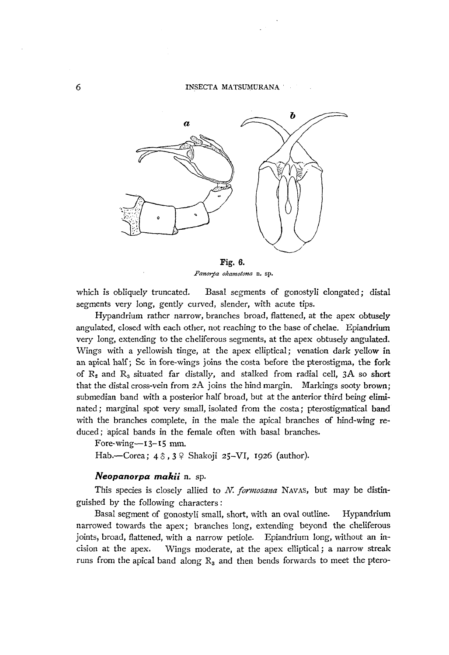

*Panorya okamotona* n. sp.

which is obliquely truncated. Basal segments of gonostyli elongated; distal segments very long, gently curved, slender, with acute tips.

Hypandrium rather narrow, branches broad, flattened, at the apex obtusely angulated, closed with each other, not reaching to the base of chelae. Epiandrium very long, extending to the cheliferous segments, at the apex obtusely angulated. Wings with a yellowish tinge, at the apex elliptical; venation dark yellow in an apical half; Sc in fore-wings joins the costa before the pterostigma, the fork of  $R_2$  and  $R_3$  situated far distally, and stalked from radial cell,  $3A$  so short that the distal cross-vein from  $2A$  joins the hind margin. Markings sooty brown; submedian band with a posterior half broad, but at the anterior third being eliminated; marginal spot very small, isolated from the costa; pterostigmatical band with the branches complete, in the male the apical branches of hind-wing reduced ; apical bands in the female often with basal branches.

Fore-wing $-13-15$  mm.

Hab.-Corea;  $4 \delta$ ,  $3 \delta$  Shakoji 25-VI, 1926 (author).

## *Neopanorpa makii* n. sp.

This species is closely allied to N. *formosana* NAVAS, but may be distinguished by the following characters:

Basal segment of gonostyli small, short, with an oval outline. Hypandrium narrowed towards the apex; branches long, extending beyond the cheliferous joints, broad, flattened, with a narrow petiole. Epiandrium long, without an incision at the apex. Wings moderate, at the apex elliptical; a narrow streak runs from the apical band along  $R_3$  and then bends forwards to meet the ptero-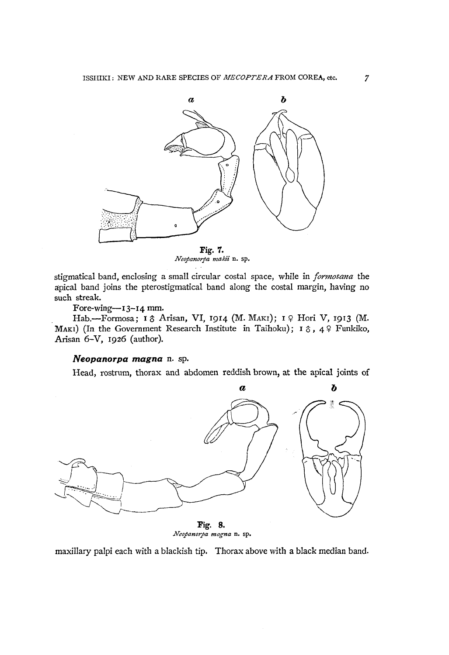

*Neopanorya makii* n. sp.

stigmatical band, enclosing a small circular costal space, while in *formosana* the apical band joins the pterostigmatical band along the costal margin, having no such streak.

# Fore-wing- $I3-14$  mm.

Hab.-Formosa; 16 Arisan, VI, 1914 (M. MAKI); 19 Hori V, 1913 (M. MAKI) (In the Government Research Institute in Taihoku);  $I \hat{\sigma}$ ,  $4 \hat{\varphi}$  Funkiko, Arisan 6-V, 1926 (author).

# *Neopanorpa magna* n. sp.

Head, rostrum, thorax and abdomen reddish brown, at the apical joints of



*Neopanorpa magna* n. sp.

maxillary palpi each with a blackish tip. Thorax above with a black median band.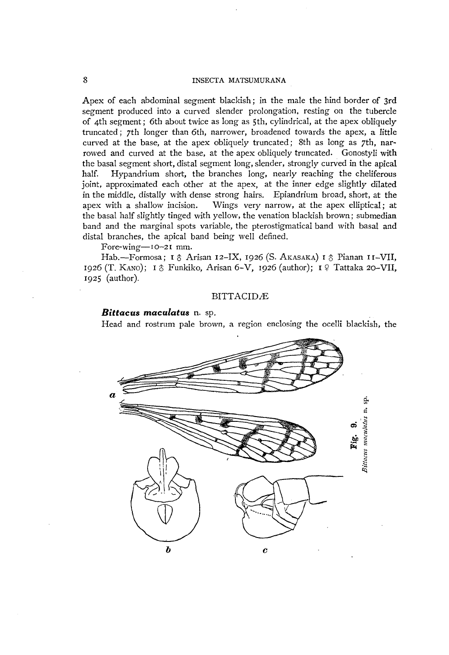Apex of each abdominal segment blackish; in the male the hind border of 3rd segment produced into a curved slender prolongation. resting on the tubercle of 4th segment; 6th about twice as long as 5th. cylindrical, at the apex obliquely truncated; 7th longer than 6th, narrower, broadened towards the apex, a little curved at the base, at the apex obliquely truncated; 8th as long as 7th, narrowed and curved at the base, at the apex obliquely truncated. Gonostyli with the basal segment short, distal segment long, slender, strongly curved in the apical half. Hypandrium short, the branches long, nearly reaching the cheliferous joint, approximated each other at the apex, at the inner edge slightly dilated in the middle. distally with dense strong hairs. Epiandrium broad, short, at the apex with a shallow incision. Wings very narrow, at the apex elliptical; at the basal half slightly tinged with yellow. the venation blackish brown; submedian band and the marginal spots variable, the pterostigmatical band with basal and distal branches, the apical band being well defined.

Fore-wing-10-21 mm.

Hab.-Formosa; 1 & Arisan 12-IX, 1926 (S. AKASAKA) 1 & Pianan 11-VII, 1926 (T. KANO); 1  $\circ$  Funkiko, Arisan 6-V, 1926 (author); 1  $\circ$  Tattaka 20-VII, 1925 (author).

#### **BITTACIDÆ**

### *Bittacus maculatus* n. sp.

Head and rostrum pale brown, a region enclosing the ocelli blackish, the

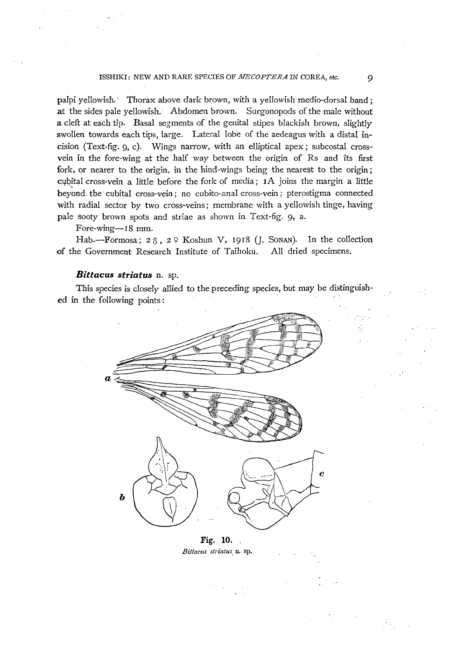#### ISSHIKI: NEW AND RARE SPECIES OF *MECOPTERA* IN COREA, etc. 9

palpi yellowish.' Thorax above dark brown, with a yellowish medio-dorsal band; at the sides pale yellowish. Abdomen brown. Surgonopods of the male without a cleft at each tip. Basal segments of the genital stipes blackish brown, slightly swollen towards each tips, large. Lateral lobe of the aedeagus with a distal incision (Text-fig. 9, c). Wings narrow, with an elliptical apex; subcostal crossvein in the fore-wing at the half way between the origin of Rs and its first fork, or nearer to the origin, in the hind-wings being the nearest to the origin; cybital cross-vein a little before the fork of media; IA joins the margin a little beyond, the cubital cross-vein; no cubito-anal cross-vein; pterostigma connected with radial sector by two cross-veins; membrane with a yellowish tinge, having pale sooty brown spots and striae as shown in Text-fig. 9, a.

Fore-wing-18 mm.

Hab.-Formosa;  $2 \hat{\circ}$ ,  $2 \hat{\circ}$  Koshun V, 1918 (J. Sonan). In the collection of the Government Research Institute of Taihoku. All dried specimens.

#### *Bittacus striatus* n. sp.

This species is closely allied to the preceding species, but may be distinguished in the following points-:



Fig. **10 .** . *Bittaetts striatus.* n. sp.\_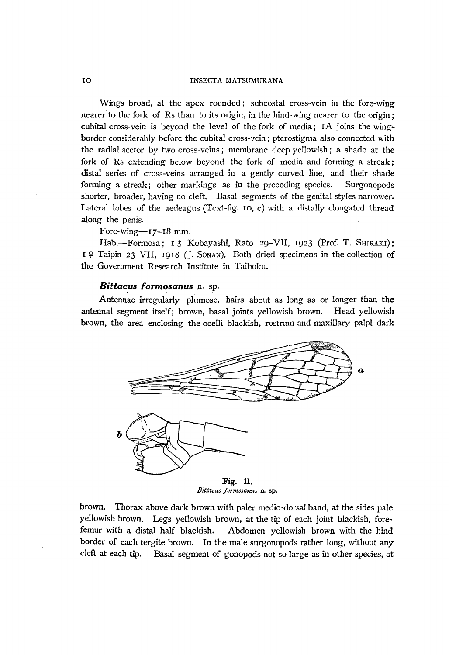Wings broad, at the apex rounded; subcostal cross-vein in the fore-wing nearer"to the fork of Rs than to its origin, in the hind-wing nearer to the origin; cubital cross-vein is beyond the level of the fork of media; rA joins the wingborder considerably before the cubital cross-vein; pterostigma also connected with the radial sector by two cross-veins; membrane deep yellowish; a shade at the fork of Rs extending below beyond the fork of media and forming a streak; distal series of cross-veins arranged in a gently curved line, and their shade forming a streak; other markings as in the preceding species. Surgonopods shorter, broader, having no cleft. Basal segments of the genital styles narrower. Lateral lobes of the aedeagus (Text-fig. 10, c) with a distally elongated thread along the penis.

#### Fore-wing- $r_{7-18}$  mm.

Hab.-Formosa; 1 & Kobayashi, Rato 29-VII, 1923 (Prof. T. SHIRAKI); 19 Taipin 23-VII, 1918 (]. SONAN). Both dried specimens in the collection of the Government Research Institute in Taihoku.

#### **Bittacus formosanus** n. sp.

Antennae irregularly plumose, hairs about as long as or longer than the antennal segment itself; brown, basal joints yellowish brown. Head yellowish brown, the area enclosing the ocelli blackish, rostrum and maxillary palpi dark



 $Bitacus$  formosanus n. sp.

brown. Thorax above dark brown with paler medio-dorsal band, at the sides pale yellowish brown. Legs yellowish brown, at the tip of each joint blackish, forefemur with a distal half blackish. Abdomen yellowish brown with the hind border of each tergite brown. In the male surgonopods rather long, without any cleft at each tip. Basal segment of gonopods not so large as in other species, at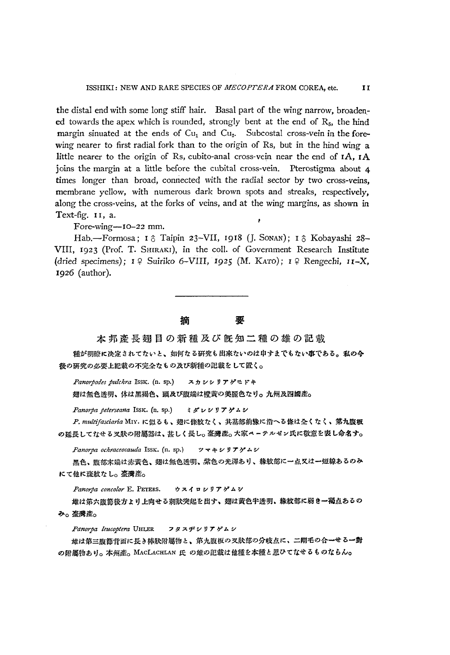the distal end with some long stiff hair. Basal part of the wing narrow, broadened towards the apex which is rounded, strongly bent at the end of  $R<sub>5</sub>$ , the hind margin sinuated at the ends of  $Cu<sub>1</sub>$  and  $Cu<sub>2</sub>$ . Subcostal cross-vein in the forewing nearer to first radial fork than to the origin of Rs, but in the hind wing a little nearer to the origin of Rs, cubito-anal cross-vein near the end of  $IA$ ,  $IA$ joins the margin at a little before the cubital cross-vein. Pterostigma about 4 times longer than broad, connected with the radial sector by two cross-veins, membrane yellow, with numerous dark brown spots and streaks, respectively, along the cross-veins, at the forks of veins, and at the wing margins, as shown in Text-fig. 11, a.

Fore-wing--10-22 mm.

Hab.-Formosa; 1 & Taipin 23-VII, 1918 (J. Sonan); 1 & Kobayashi 28-VIII, 1923 (Prof. T. SHIRAKI), in the colI. of Government Research Institute (dried specimens);  $I \nsubseteq$  Suiriko 6-VIII, 1925 (M. KATO);  $I \nsubseteq$  Rengechi, 11-X, 1926 (author).

\*n.A~~0 •• &~~~=.0.0E.

種が明瞭に决定されてないと、如何なる研究も出來ないのは申すまでもない事である。私の今 後の研究の必要上記載の不完全なもの及び新種の記載をして置く。

*Panorpodes pulchra* ISSK. (n. sp.) スカシシリアゲモドキ

翅は無色透明、体は黑褐色、頭及び腹端は橙黃の美麗色なり。九州及四國産。

*Panorpa peterseana* ISSK. (n. sp.) ミダレシリアゲムシ

P. multifasciaria MIY. に似るも、翅に條紋なく、其基部前線に沿へる條は全くなく、第九腹板 の延長してなせる叉狀の附屬器は、甚しく長し。臺灣産。大家ペーテルゼン氏に敬意を表し命名す。

*Panorpa ochraceocauda* ISSK. (n. sp.) ツマキシリアゲムシ

黑色、腹部末端は赤黄色、翅は無色透明、紫色の光澤あり、緣紋部に一点又は一短線あるのみ にて他に斑紋なし。臺灣産。

Panorpa concolor E. PETERS. ウスイロシリアゲムシ

雄は第六腹節後方より上向せる刺狀突起を出す、翅は黃色半透明、綠紋部に弱き一褐点あるの み。臺灣産。

*Panorpa leucoptem* UHLER フタスヂシリアゲムシ

雄は第三腹節背面に長き棒狀附屬物と、第九腹板の叉狀部の分岐点に、二剛毛の合一せる一對 の附屬物あり。本州産。MACLACHLAN 氏 の雄の記載は他種を本種と思ひてなせるものならん。